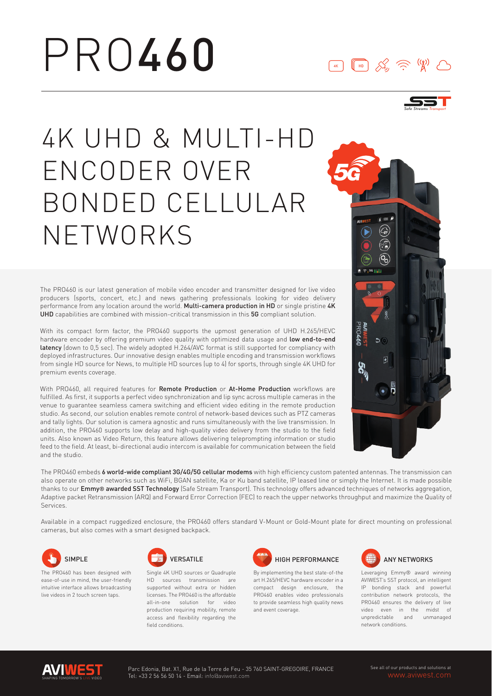# PRO460

### $\boxed{4K}$

*Safe Streams Transport*

# 4K UHD & MULTI-HD ENCODER OVER BONDED CELLULAR NETWORKS

The PRO460 is our latest generation of mobile video encoder and transmitter designed for live video producers (sports, concert, etc.) and news gathering professionals looking for video delivery performance from any location around the world. Multi-camera production in HD or single pristine 4K UHD capabilities are combined with mission-critical transmission in this 5G compliant solution.

With its compact form factor, the PRO460 supports the upmost generation of UHD H.265/HEVC hardware encoder by offering premium video quality with optimized data usage and low end-to-end latency (down to 0,5 sec). The widely adopted H.264/AVC format is still supported for compliancy with deployed infrastructures. Our innovative design enables multiple encoding and transmission workflows from single HD source for News, to multiple HD sources (up to 4) for sports, through single 4K UHD for premium events coverage.

With PRO460, all required features for Remote Production or At-Home Production workflows are fulfilled. As first, it supports a perfect video synchronization and lip sync across multiple cameras in the venue to guarantee seamless camera switching and efficient video editing in the remote production studio. As second, our solution enables remote control of network-based devices such as PTZ cameras and tally lights. Our solution is camera agnostic and runs simultaneously with the live transmission. In addition, the PRO460 supports low delay and high-quality video delivery from the studio to the field units. Also known as Video Return, this feature allows delivering teleprompting information or studio feed to the field. At least, bi-directional audio intercom is available for communication between the field and the studio.



The PRO460 embeds 6 world-wide compliant 3G/4G/5G cellular modems with high efficiency custom patented antennas. The transmission can also operate on other networks such as WiFi, BGAN satellite, Ka or Ku band satellite, IP leased line or simply the Internet. It is made possible thanks to our Emmy® awarded SST Technology (Safe Stream Transport). This technology offers advanced techniques of networks aggregation, Adaptive packet Retransmission (ARQ) and Forward Error Correction (FEC) to reach the upper networks throughput and maximize the Quality of Services.

Available in a compact ruggedized enclosure, the PRO460 offers standard V-Mount or Gold-Mount plate for direct mounting on professional cameras, but also comes with a smart designed backpack.



The PRO460 has been designed with ease-of-use in mind, the user-friendly intuitive interface allows broadcasting live videos in 2 touch screen taps.



Single 4K UHD sources or Quadruple HD sources transmission are supported without extra or hidden licenses. The PRO460 is the affordable all-in-one solution for video production requiring mobility, remote access and flexibility regarding the field conditions.



By implementing the best state-of-the art H.265/HEVC hardware encoder in a compact design enclosure, the PRO460 enables video professionals to provide seamless high quality news and event coverage.



Leveraging Emmy® award winning AVIWEST's SST protocol, an intelligent IP bonding stack and powerful contribution network protocols, the PRO460 ensures the delivery of live video even in the midst of unpredictable and unmanaged network conditions.

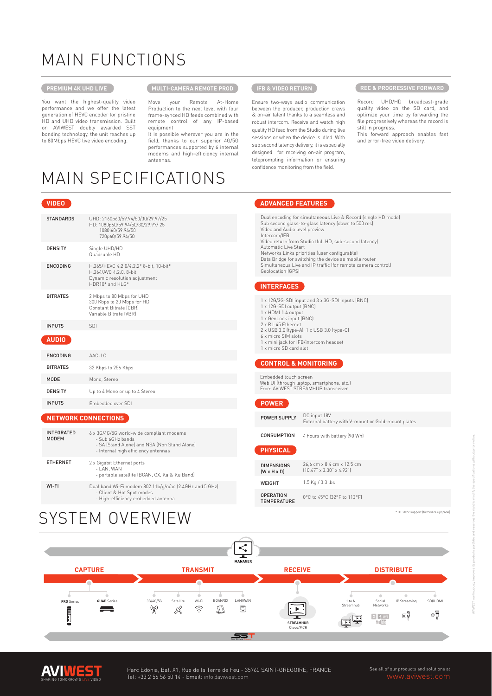# MAIN FUNCTIONS

### **PREMIUM 4K UHD LIVE**

You want the highest-quality video performance and we offer the latest generation of HEVC encoder for pristine HD and UHD video transmission. Built on AVIWEST doubly awarded SST bonding technology, the unit reaches up to 80Mbps HEVC live video encoding.

### **PRODUCTI-CAMERA REMOTE PROD**

Move your Remote At-Home Production to the next level with four frame-synced HD feeds combined with remote control of any IP-based equipment

It is possible wherever you are in the field, thanks to our superior 4G/5G performances supported by 6 internal modems and high-efficiency internal antennas.

### **IFB & VIDEO RETURN**

Ensure two-ways audio communication between the producer, production crews & on-air talent thanks to a seamless and robust intercom. Receive and watch high quality HD feed from the Studio during live sessions or when the device is idled. With sub second latency delivery, it is especially designed for receiving on-air program, teleprompting information or ensuring confidence monitoring from the field.

#### **REC & PROGRESSIVE FORWARD**

Record UHD/HD broadcast-grade quality video on the SD card, and optimize your time by forwarding the file progressively whereas the record is still in progress.

This forward approach enables fast and error-free video delivery.

### MAIN SPECIFICATIONS

| <b>VIDEO</b>     |                                                                                                                       |
|------------------|-----------------------------------------------------------------------------------------------------------------------|
| <b>STANDARDS</b> | UHD: 2160p60/59.94/50/30/29.97/25<br>HD: 1080p60/59.94/50/30/29.97/25<br>1080i60/59.94/50<br>720p60/59.94/50          |
| <b>DENSITY</b>   | Single UHD/HD<br>Quadruple HD                                                                                         |
| <b>ENCODING</b>  | H.265/HEVC 4:2:0/4:2:2* 8-bit, 10-bit*<br>H.264/AVC 4:2:0, 8-bit<br>Dynamic resolution adjustment<br>HDR10* and HI G* |
| <b>BITRATES</b>  | 2 Mbps to 80 Mbps for UHD<br>300 Kbps to 20 Mbps for HD<br>Constant Bitrate (CBR)<br>Variable Bitrate (VBR)           |
| <b>INPUTS</b>    | SDI                                                                                                                   |
| <b>AUDIO</b>     |                                                                                                                       |
| <b>ENCODING</b>  | AAC-LC                                                                                                                |
| <b>BITRATES</b>  | 32 Kbps to 256 Kbps                                                                                                   |
| <b>MODE</b>      | Mono, Stereo                                                                                                          |
| <b>DENSITY</b>   | Up to 4 Mono or up to 4 Stereo                                                                                        |
| <b>INPUTS</b>    | Embedded over SDI                                                                                                     |

#### **NETWORK CONNECTIONS**

| <b>INTEGRATED</b><br><b>MODEM</b> | 6 x 3G/4G/5G world-wide compliant modems<br>- Sub 6GHz bands<br>- SA (Stand Alone) and NSA (Non Stand Alone)<br>- Internal high efficiency antennas |
|-----------------------------------|-----------------------------------------------------------------------------------------------------------------------------------------------------|
| <b>ETHERNET</b>                   | 2 x Gigabit Ethernet ports<br>- LAN, WAN<br>- portable satellite (BGAN, GX, Ka & Ku Band)                                                           |
| WI-FI                             | Dual band Wi-Fi modem 802.11b/g/n/ac (2.4GHz and 5 GHz)<br>- Client & Hot Spot modes<br>- High-efficiency embedded antenna                          |

SYSTEM OVERVIEW

### **ADVANCED FEATURES** Dual encoding for simultaneous Live & Record (single HD mode)

Sub second glass-to-glass latency (down to 500 ms) Video and Audio level preview Intercom/IFB Video return from Studio (full HD, sub-second latency) Automatic Live Start Networks Links priorities (user configurable) Data Bridge for switching the device as mobile router Simultaneous Live and IP traffic (for remote camera control) Geolocation (GPS)

### **INTERFACES**

| 1 x 12G/3G-SDI input and 3 x 3G-SDI inputs (BNC)<br>1 x 12G-SDI output (BNC)<br>1 x HDMI 1.4 output<br>1 x GenLock input (BNC) |  |
|--------------------------------------------------------------------------------------------------------------------------------|--|
| 2 x RJ-45 Ethernet<br>2 x USB 3.0 (type-A), 1 x USB 3.0 (type-C)                                                               |  |
| 6 x micro SIM slots                                                                                                            |  |
| 1 x mini jack for IFB/intercom headset<br>1 x micro SD card slot                                                               |  |
|                                                                                                                                |  |
| <b>CONTROL &amp; MONITORING</b>                                                                                                |  |
| Embedded touch screen<br>Web UI (through laptop, smartphone, etc.)<br>From AVIWEST STREAMHUB transceiver                       |  |
|                                                                                                                                |  |

DC input 18V External battery with V-mount or Gold-mount plates POWER SUPPLY

4 hours with battery (90 Wh) CONSUMPTION

#### **PHYSICAL**

| <b>DIMENSIONS</b><br>$(W \times H \times D)$ | 26.6 cm x 8.4 cm x 12.5 cm<br>$[10.47" \times 3.30" \times 4.92"]$ |
|----------------------------------------------|--------------------------------------------------------------------|
| WEIGHT                                       | 1.5 Kg / 3.3 lbs                                                   |
| <b>OPERATION</b><br><b>TEMPERATURE</b>       | 0°C to 45°C (32°F to 113°F)                                        |

#### \* H1 2022 support (firmware





See all of our products and solutions at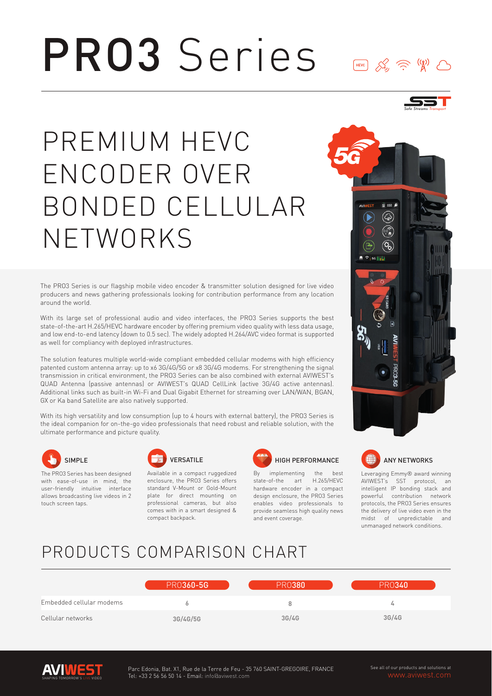### PRO3 Series  $\underbrace{\begin{array}{c} \text{HEVC} \end{array}} \qquad \qquad \text{X} \qquad \qquad \text{X} \qquad \qquad \text{X}$  $\left(\binom{n}{k}\right)$



The PRO3 Series is our flagship mobile video encoder & transmitter solution designed for live video producers and news gathering professionals looking for contribution performance from any location around the world.

With its large set of professional audio and video interfaces, the PRO3 Series supports the best state-of-the-art H.265/HEVC hardware encoder by offering premium video quality with less data usage, and low end-to-end latency (down to 0.5 sec). The widely adopted H.264/AVC video format is supported as well for compliancy with deployed infrastructures.

The solution features multiple world-wide compliant embedded cellular modems with high efficiency patented custom antenna array: up to x6 3G/4G/5G or x8 3G/4G modems. For strengthening the signal transmission in critical environment, the PRO3 Series can be also combined with external AVIWEST's QUAD Antenna (passive antennas) or AVIWEST's QUAD CellLink (active 3G/4G active antennas). Additional links such as built-in Wi-Fi and Dual Gigabit Ethernet for streaming over LAN/WAN, BGAN, GX or Ka band Satellite are also natively supported.

With its high versatility and low consumption (up to 4 hours with external battery), the PRO3 Series is the ideal companion for on-the-go video professionals that need robust and reliable solution, with the ultimate performance and picture quality.



The PRO3 Series has been designed with ease-of-use in mind, the user-friendly intuitive interface allows broadcasting live videos in 2 touch screen taps.



Available in a compact ruggedized enclosure, the PRO3 Series offers standard V-Mount or Gold-Mount plate for direct mounting on professional cameras, but also comes with in a smart designed & compact backpack.



By implementing the state-of-the art H.265/HEVC hardware encoder in a compact design enclosure, the PRO3 Series enables video professionals to provide seamless high quality news and event coverage.





Leveraging Emmy® award winning AVIWEST's SST protocol, an intelligent IP bonding stack and powerful contribution network protocols, the PRO3 Series ensures the delivery of live video even in the midst of unpredictable and unmanaged network conditions.

### PRODUCTS COMPARISON CHART

|                          | <b>PR0360-5G</b> | <b>PR0380</b> | <b>PR0340</b> |
|--------------------------|------------------|---------------|---------------|
| Embedded cellular modems |                  | 8             | ω             |
| Cellular networks        | 3G/4G/5G         | 3G/4G         | 3G/4G         |